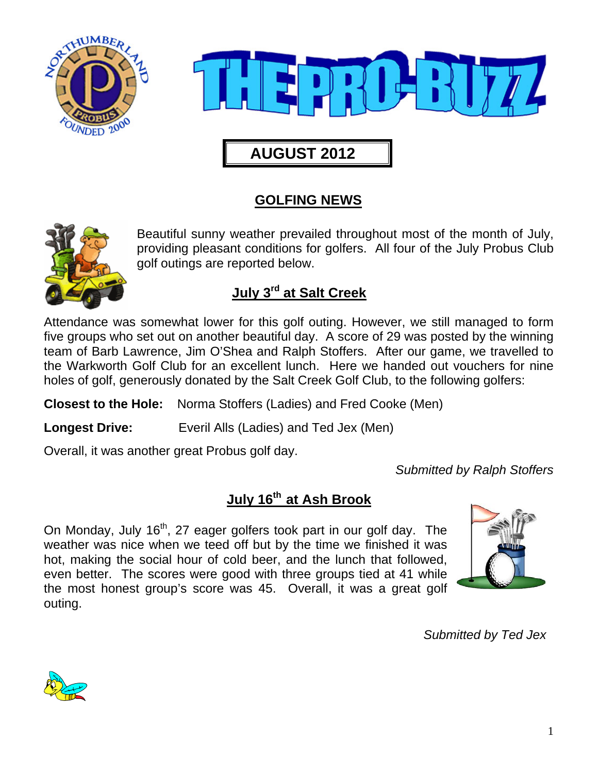



## **AUGUST 2012**

## **GOLFING NEWS**



Beautiful sunny weather prevailed throughout most of the month of July, providing pleasant conditions for golfers. All four of the July Probus Club golf outings are reported below.

## **July 3rd at Salt Creek**

Attendance was somewhat lower for this golf outing. However, we still managed to form five groups who set out on another beautiful day. A score of 29 was posted by the winning team of Barb Lawrence, Jim O'Shea and Ralph Stoffers. After our game, we travelled to the Warkworth Golf Club for an excellent lunch. Here we handed out vouchers for nine holes of golf, generously donated by the Salt Creek Golf Club, to the following golfers:

**Closest to the Hole:** Norma Stoffers (Ladies) and Fred Cooke (Men)

**Longest Drive:** Everil Alls (Ladies) and Ted Jex (Men)

Overall, it was another great Probus golf day.

*Submitted by Ralph Stoffers* 

### **July 16th at Ash Brook**

On Monday, July  $16<sup>th</sup>$ , 27 eager golfers took part in our golf day. The weather was nice when we teed off but by the time we finished it was hot, making the social hour of cold beer, and the lunch that followed, even better. The scores were good with three groups tied at 41 while the most honest group's score was 45. Overall, it was a great golf outing.



*Submitted by Ted Jex* 

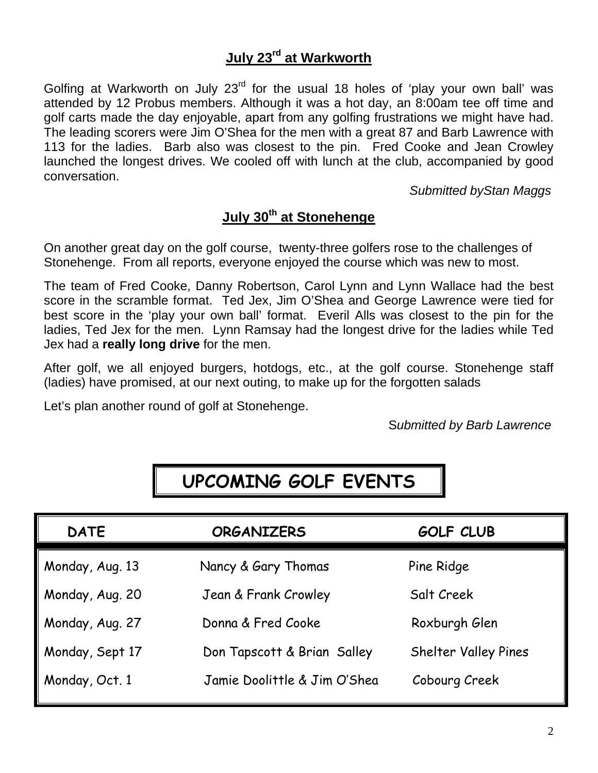### **July 23rd at Warkworth**

Golfing at Warkworth on July  $23<sup>rd</sup>$  for the usual 18 holes of 'play your own ball' was attended by 12 Probus members. Although it was a hot day, an 8:00am tee off time and golf carts made the day enjoyable, apart from any golfing frustrations we might have had. The leading scorers were Jim O'Shea for the men with a great 87 and Barb Lawrence with 113 for the ladies. Barb also was closest to the pin. Fred Cooke and Jean Crowley launched the longest drives. We cooled off with lunch at the club, accompanied by good conversation.

*Submitted byStan Maggs* 

### **July 30th at Stonehenge**

On another great day on the golf course, twenty-three golfers rose to the challenges of Stonehenge. From all reports, everyone enjoyed the course which was new to most.

The team of Fred Cooke, Danny Robertson, Carol Lynn and Lynn Wallace had the best score in the scramble format. Ted Jex, Jim O'Shea and George Lawrence were tied for best score in the 'play your own ball' format. Everil Alls was closest to the pin for the ladies, Ted Jex for the men. Lynn Ramsay had the longest drive for the ladies while Ted Jex had a **really long drive** for the men.

After golf, we all enjoyed burgers, hotdogs, etc., at the golf course. Stonehenge staff (ladies) have promised, at our next outing, to make up for the forgotten salads

Let's plan another round of golf at Stonehenge.

S*ubmitted by Barb Lawrence* 

## **UPCOMING GOLF EVENTS**

| <b>DATE</b>     | <b>ORGANIZERS</b>            | <b>GOLF CLUB</b>     |
|-----------------|------------------------------|----------------------|
| Monday, Aug. 13 | Nancy & Gary Thomas          | Pine Ridge           |
| Monday, Aug. 20 | Jean & Frank Crowley         | Salt Creek           |
| Monday, Aug. 27 | Donna & Fred Cooke           | Roxburgh Glen        |
| Monday, Sept 17 | Don Tapscott & Brian Salley  | Shelter Valley Pines |
| Monday, Oct. 1  | Jamie Doolittle & Jim O'Shea | Cobourg Creek        |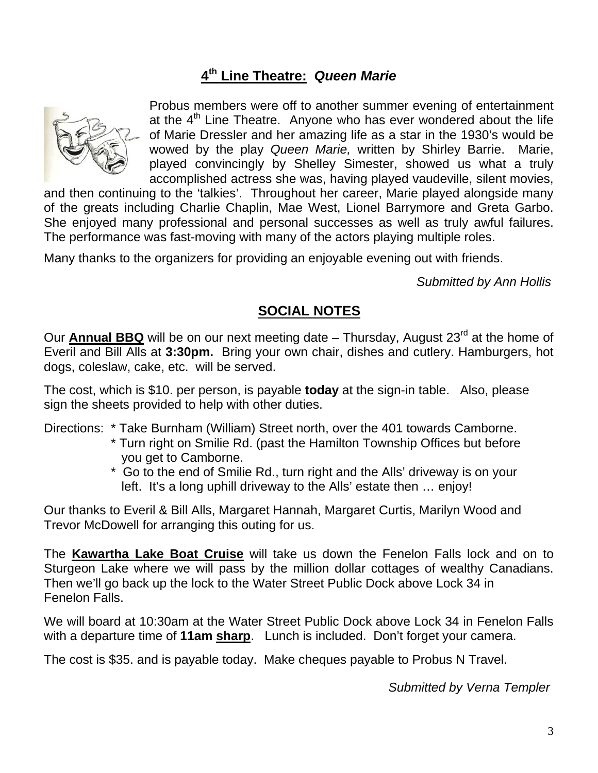### **4th Line Theatre:** *Queen Marie*



Probus members were off to another summer evening of entertainment at the  $4<sup>th</sup>$  Line Theatre. Anyone who has ever wondered about the life of Marie Dressler and her amazing life as a star in the 1930's would be wowed by the play *Queen Marie,* written by Shirley Barrie. Marie, played convincingly by Shelley Simester, showed us what a truly accomplished actress she was, having played vaudeville, silent movies,

and then continuing to the 'talkies'. Throughout her career, Marie played alongside many of the greats including Charlie Chaplin, Mae West, Lionel Barrymore and Greta Garbo. She enjoyed many professional and personal successes as well as truly awful failures. The performance was fast-moving with many of the actors playing multiple roles.

Many thanks to the organizers for providing an enjoyable evening out with friends.

*Submitted by Ann Hollis* 

#### **SOCIAL NOTES**

Our **Annual BBQ** will be on our next meeting date – Thursday, August 23<sup>rd</sup> at the home of Everil and Bill Alls at **3:30pm.** Bring your own chair, dishes and cutlery. Hamburgers, hot dogs, coleslaw, cake, etc. will be served.

The cost, which is \$10. per person, is payable **today** at the sign-in table. Also, please sign the sheets provided to help with other duties.

Directions: \* Take Burnham (William) Street north, over the 401 towards Camborne.

- \* Turn right on Smilie Rd. (past the Hamilton Township Offices but before you get to Camborne.
- \* Go to the end of Smilie Rd., turn right and the Alls' driveway is on your left. It's a long uphill driveway to the Alls' estate then … enjoy!

Our thanks to Everil & Bill Alls, Margaret Hannah, Margaret Curtis, Marilyn Wood and Trevor McDowell for arranging this outing for us.

The **Kawartha Lake Boat Cruise** will take us down the Fenelon Falls lock and on to Sturgeon Lake where we will pass by the million dollar cottages of wealthy Canadians. Then we'll go back up the lock to the Water Street Public Dock above Lock 34 in Fenelon Falls.

We will board at 10:30am at the Water Street Public Dock above Lock 34 in Fenelon Falls with a departure time of **11am sharp**. Lunch is included. Don't forget your camera.

The cost is \$35. and is payable today. Make cheques payable to Probus N Travel.

*Submitted by Verna Templer*